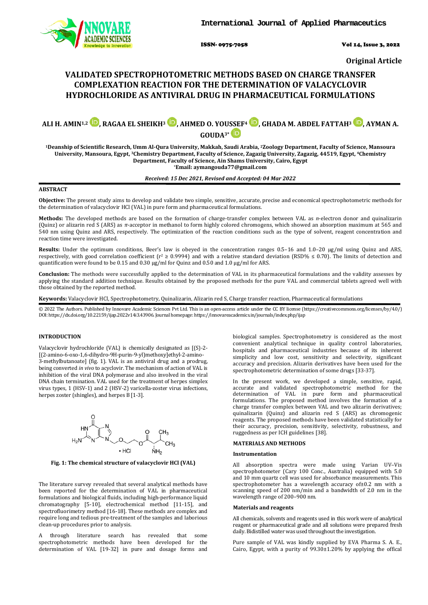

ISSN- 0975-7058 Vol 14, Issue 3, 2022

**Original Article**

# **VALIDATED SPECTROPHOTOMETRIC METHODS BASED ON CHARGE TRANSFER COMPLEXATION REACTION FOR THE DETERMINATION OF VALACYCLOVIR HYDROCHLORIDE AS ANTIVIRAL DRUG IN PHARMACEUTICAL FORMULATIONS**

# **ALI H. AMIN1,2 , RAGAA EL SHEIKH3 [,](https://orcid.org/0000-0002-1790-5522) AHMED O. YOU[SSEF](https://orcid.org/0000-0001-5967-4585)4 [,](https://orcid.org/0000-0002-3506-8254) GHADA M. ABDEL FATTAH3 [,](https://orcid.org/0000-0001-8398-1219) AYMAN A. GOUDA3\***

**1Deanship of Scientific Research, Umm Al-Qura University, Makkah, Saudi Arabia, 2Zoology Department, Faculty of Science, Mansoura University, Mansoura, Egypt, 3Chemistry Department, Faculty of Science, Zagazig University, Zagazig, 44519, Egypt, 4Chemistry Department, Faculty of Science, Ain Shams University, Cairo, Egypt \*Email[: aymangouda77@gmail.com](mailto:aymangouda77@gmail.com)**

*Received: 15 Dec 2021, Revised and Accepted: 04 Mar 2022*

# **ABSTRACT**

**Objective:** The present study aims to develop and validate two simple, sensitive, accurate, precise and economical spectrophotometric methods for the determination o[f valacyclovir](https://www.webmd.com/drugs/2/drug-6279/valacyclovir+oral/details) HCl (VAL) in pure form and pharmaceutical formulations.

**Methods:** The developed methods are based on the formation of charge-transfer complex between VAL as *n*-electron donor and quinalizarin (Quinz) or alizarin red S (ARS) as *π*-acceptor in methanol to form highly colored chromogens, which showed an absorption maximum at 565 and 540 nm using Quinz and ARS, respectively. The optimization of the reaction conditions such as the type of solvent, reagent concentration and reaction time were investigated.

**Results:** Under the optimum conditions, Beer's law is obeyed in the concentration ranges 0.5–16 and 1.0–20 μg/ml using Quinz and ARS, respectively, with good correlation coefficient ( $r^2 \ge 0.9994$ ) and with a relative standard deviation (RSD%  $\le 0.70$ ). The limits of detection and quantification were found to be 0.15 and 0.30 µg/ml for Quinz and 0.50 and 1.0 µg/ml for ARS.

**Conclusion:** The methods were successfully applied to the determination of VAL in its pharmaceutical formulations and the validity assesses by applying the standard addition technique. Results obtained by the proposed methods for the pure VAL and commercial tablets agreed well with those obtained by the reported method.

**Keywords:** [Valacyclovir](https://www.webmd.com/drugs/2/drug-6279/valacyclovir+oral/details) HCl, Spectrophotometry, Quinalizarin, Alizarin red S, Charge transfer reaction, Pharmaceutical formulations

© 2022 The Authors. Published by Innovare Academic Sciences Pvt Ltd. This is an open-access article under the CC BY license [\(https://creativecommons.org/licenses/by/4.0/\)](https://creativecommons.org/licenses/by/4.0/) DOI: https://dx.doi.org/10.22159/ijap.2022v14i3.43906. Journal homepage[: https://innovareacademics.in/journals/index.php/ijap](https://innovareacademics.in/journals/index.php/ijap)

## **INTRODUCTION**

Valacyclovir hydrochloride (VAL) is chemically designated as [(S)-2- [(2-amino-6-oxo-1,6-dihydro-9H-purin-9-yl)methoxy]ethyl-2-amino-3-methylbutanoate] (fig. 1). VAL is an antiviral drug and a prodrug, being converted *in vivo* to acyclovir. The mechanism of action of VAL is inhibition of the viral DNA polymerase and also involved in the viral DNA chain termination. VAL used for the treatment of herpes simplex virus types, 1 (HSV-1) and 2 (HSV-2) varicella-zoster virus infections, herpes zoster (shingles), and herpes B [1-3].



**Fig. 1: The chemical structure o[f valacyclovir](https://www.webmd.com/drugs/2/drug-6279/valacyclovir+oral/details) HCl (VAL)**

The literature survey revealed that several analytical methods have been reported for the determination of VAL in pharmaceutical formulations and biological fluids, including high-performance liquid chromatography [5-10], electrochemical method [11-15], and spectrofluorimetry method [16-18]. These methods are complex and require long and tedious pre-treatment of the samples and laborious clean-up procedures prior to analysis.

A through literature search has revealed that some spectrophotometric methods have been developed for the determination of VAL [19-32] in pure and dosage forms and biological samples. Spectrophotometry is considered as the most convenient analytical technique in quality control laboratories, hospitals and pharmaceutical industries because of its inherent simplicity and low cost, sensitivity and selectivity, significant accuracy and precision. Alizarin derivatives have been used for the spectrophotometric determination of some drugs [33-37].

In the present work, we developed a simple, sensitive, rapid, accurate and validated spectrophotometric method for the determination of VAL in pure form and pharmaceutical formulations. The proposed method involves the formation of a charge transfer complex between VAL and two alizarin derivatives; quinalizarin (Quinz) and alizarin red S (ARS) as chromogenic reagents. The proposed methods have been validated statistically for their accuracy, precision, sensitivity, selectivity, robustness, and ruggedness as per ICH guidelines [38].

# **MATERIALS AND METHODS**

#### **Instrumentation**

All absorption spectra were made using Varian UV–Vis spectrophotometer (Cary 100 Conc., Australia) equipped with 5.0 and 10 mm quartz cell was used for absorbance measurements. This spectrophotometer has a wavelength accuracy of±0.2 nm with a scanning speed of 200 nm/min and a bandwidth of 2.0 nm in the wavelength range of 200–900 nm.

# **Materials and reagents**

All chemicals, solvents and reagents used in this work were of analytical reagent or pharmaceutical grade and all solutions were prepared fresh daily. Bidistilled water was used throughout the investigation.

Pure sample of VAL was kindly supplied by EVA Pharma S. A. E., Cairo, Egypt, with a purity of  $99.30\pm1.20\%$  by applying the offical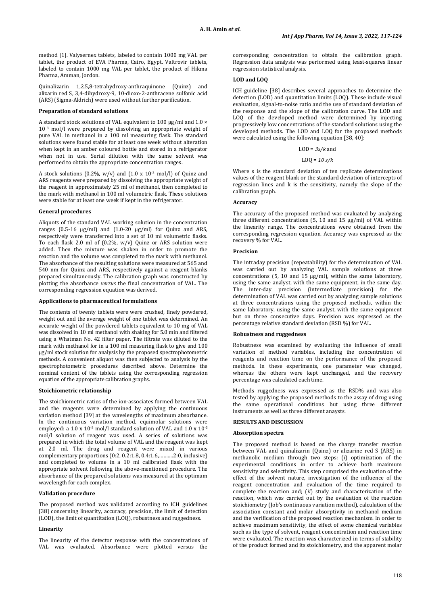method [1]. Valysernex tablets, labeled to contain 1000 mg VAL per tablet, the product of EVA Pharma, Cairo, Egypt. Valtrovir tablets, labeled to contain 1000 mg VAL per tablet, the product of Hikma Pharma, Amman, Jordon.

Quinalizarin 1,2,5,8-tetrahydroxy-anthraquinone (Quinz) and alizarin red S, 3,4-dihydroxy-9, 10-dioxo-2-anthracene sulfonic acid (ARS) (Sigma-Aldrich) were used without further purification.

# **Preparation of standard solutions**

A standard stock solutions of VAL equivalent to 100 μg/ml and 1.0 × 10<sup>−</sup><sup>3</sup> mol/l were prepared by dissolving an appropriate weight of pure VAL in methanol in a 100 ml measuring flask. The standard solutions were found stable for at least one week without alteration when kept in an amber coloured bottle and stored in a refrigerator when not in use. Serial dilution with the same solvent was performed to obtain the appropriate concentration ranges.

A stock solutions (0.2%,  $w/v$ ) and (1.0 x 10<sup>-3</sup> mol/l) of Quinz and ARS reagents were prepared by dissolving the appropriate weight of the reagent in approximately 25 ml of methanol, then completed to the mark with methanol in 100 ml volumetric flask. These solutions were stable for at least one week if kept in the refrigerator.

# **General procedures**

Aliquots of the standard VAL working solution in the concentration ranges (0.5-16 μg/ml) and (1.0-20 μg/ml) for Quinz and ARS, respectively were transferred into a set of 10 ml volumetric flasks. To each flask 2.0 ml of (0.2%, w/v) Quinz or ARS solution were added. Then the mixture was shaken in order to promote the reaction and the volume was completed to the mark with methanol. The absorbance of the resulting solutions were measured at 565 and 540 nm for Quinz and ARS, respectively against a reagent blanks prepared simultaneously. The calibration graph was constructed by plotting the absorbance *versus* the final concentration of VAL. The corresponding regression equation was derived.

# **Applications to pharmaceutical formulations**

The contents of twenty tablets were were crushed, finely powdered, weight out and the average weight of one tablet was determined. An accurate weight of the powdered tablets equivalent to 10 mg of VAL was dissolved in 10 ml methanol with shaking for 5.0 min and filtered using a Whatman No. 42 filter paper. The filtrate was diluted to the mark with methanol for in a 100 ml measuring flask to give and 100 μg/ml stock solution for analysis by the proposed spectrophotometric methods. A convenient aliquot was then subjected to analysis by the spectrophotometric procedures described above. Determine the nominal content of the tablets using the corresponding regression equation of the appropriate calibration graphs.

# **Stoichiometric relationship**

The stoichiometric ratios of the ion-associates formed between VAL and the reagents were determined by applying the continuous variation method [39] at the wavelengths of maximum absorbance. In the continuous variation method, equimolar solutions were employed: a 1.0 x 10<sup>-3</sup> mol/l standard solution of VAL and 1.0 x 10<sup>-3</sup> mol/l solution of reagent was used. A series of solutions was prepared in which the total volume of VAL and the reagent was kept at 2.0 ml. The drug and reagent were mixed in various complementary proportions (0:2, 0.2:1.8, 0.4:1.6,……….2:0, inclusive) and completed to volume in a 10 ml calibrated flask with the appropriate solvent following the above-mentioned procedure. The absorbance of the prepared solutions was measured at the optimum wavelength for each complex.

# **Validation procedure**

The proposed method was validated according to ICH guidelines [38] concerning linearity, accuracy, precision, the limit of detection (LOD), the limit of quantitation (LOQ), robustness and ruggedness.

#### **Linearity**

The linearity of the detector response with the concentrations of VAL was evaluated. Absorbance were plotted versus the

corresponding concentration to obtain the calibration graph. Regression data analysis was performed using least-squares linear regression statistical analysis.

#### **LOD and LOQ**

ICH guideline [38] describes several approaches to determine the detection (LOD) and quantitation limits (LOQ). These include visual evaluation, signal-to-noise ratio and the use of standard deviation of the response and the slope of the calibration curve. The LOD and LOQ of the developed method were determined by injecting progressively low concentrations of the standard solutions using the developed methods. The LOD and LOQ for the proposed methods were calculated using the following equation [38, 40]:

### LOD = *3s/k* and

#### LOQ = *10 s/k*

Where s is the standard deviation of ten replicate determinations values of the reagent blank or the standard deviation of intercepts of regression lines and k is the sensitivity, namely the slope of the calibration graph.

# **Accuracy**

The accuracy of the proposed method was evaluated by analyzing three different concentrations (5, 10 and 15 µg/ml) of VAL within the linearity range. The concentrations were obtained from the corresponding regression equation. Accuracy was expressed as the recovery % for VAL.

#### **Precision**

The intraday precision (repeatability) for the determination of VAL was carried out by analyzing VAL sample solutions at three concentrations (5, 10 and 15 µg/ml), within the same laboratory, using the same analyst, with the same equipment, in the same day. The inter-day precision (intermediate precision**)** for the determination of VAL was carried out by analyzing sample solutions at three concentrations using the proposed methods, within the same laboratory, using the same analyst, with the same equipment but on three consecutive days. Precision was expressed as the percentage relative standard deviation (RSD %) for VAL.

#### **Robustness and ruggedness**

Robustness was examined by evaluating the influence of small variation of method variables, including the concentration of reagents and reaction time on the performance of the proposed methods. In these experiments, one parameter was changed, whereas the others were kept unchanged, and the recovery percentage was calculated each time.

Methods ruggedness was expressed as the RSD% and was also tested by applying the proposed methods to the assay of drug using the same operational conditions but using three different instruments as well as three different anaysts.

# **RESULTS AND DISCUSSION**

#### **Absorption spectra**

The proposed method is based on the charge transfer reaction between VAL and quinalizarin (Quinz) or alizarine red S (ARS) in methanolic medium through two steps: (*i*) optimization of the experimental conditions in order to achieve both maximum sensitivity and selectivity. This step comprised the evaluation of the effect of the solvent nature, investigation of the influence of the reagent concentration and evaluation of the time required to complete the reaction and; (*ii*) study and characterization of the reaction, which was carried out by the evaluation of the reaction stoichiometry (Job's continuous variation method), calculation of the association constant and molar absorptivity in methanol medium and the verification of the proposed reaction mechanism. In order to achieve maximum sensitivity, the effect of some chemical variables such as the type of solvent, reagent concentration and reaction time were evaluated. The reaction was characterized in terms of stability of the product formed and its stoichiometry, and the apparent molar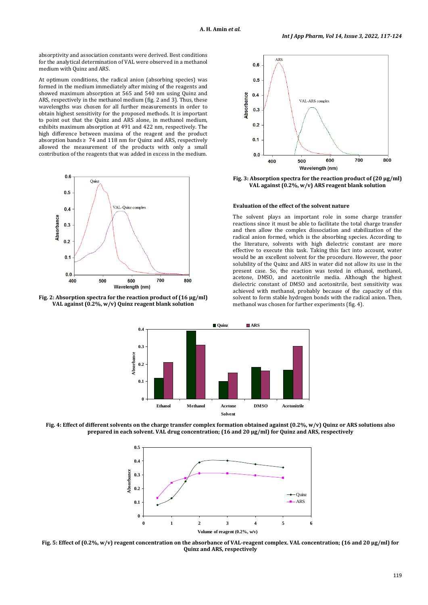absorptivity and association constants were derived. Best conditions for the analytical determination of VAL were observed in a methanol medium with Quinz and ARS.

At optimum conditions, the radical anion (absorbing species) was formed in the medium immediately after mixing of the reagents and showed maximum absorption at 565 and 540 nm using Quinz and ARS, respectively in the methanol medium (fig. 2 and 3). Thus, these wavelengths was chosen for all further measurements in order to obtain highest sensitivity for the proposed methods. It is important to point out that the Quinz and ARS alone, in methanol medium, exhibits maximum absorption at 491 and 422 nm, respectively. The high difference between maxima of the reagent and the product absorption bands  $\geq 74$  and 118 nm for Quinz and ARS, respectively allowed the measurement of the products with only a small contribution of the reagents that was added in excess in the medium.







**Fig. 3: Absorption spectra for the reaction product of (20 μg/ml) VAL against (0.2%, w/v) ARS reagent blank solution**

#### **Evaluation of the effect of the solvent nature**

The solvent plays an important role in some charge transfer reactions since it must be able to facilitate the total charge transfer and then allow the complex dissociation and stabilization of the radical anion formed, which is the absorbing species. According to the literature, solvents with high dielectric constant are more effective to execute this task. Taking this fact into account, water would be an excellent solvent for the procedure. However, the poor solubility of the Quinz and ARS in water did not allow its use in the present case. So, the reaction was tested in ethanol, methanol, acetone, DMSO, and acetonitrile media. Although the highest dielectric constant of DMSO and acetonitrile, best sensitivity was achieved with methanol, probably because of the capacity of this solvent to form stable hydrogen bonds with the radical anion. Then, methanol was chosen for further experiments (fig. 4).



**Fig. 4: Effect of different solvents on the charge transfer complex formation obtained against (0.2%, w/v) Quinz or ARS solutions also prepared in each solvent. VAL drug concentration; (16 and 20 μg/ml) for Quinz and ARS, respectively**



**Fig. 5: Effect of (0.2%, w/v) reagent concentration on the absorbance of VAL-reagent complex. VAL concentration; (16 and 20 μg/ml) for Quinz and ARS, respectively**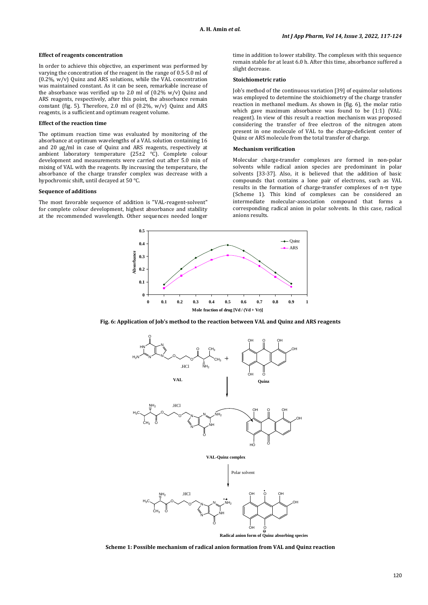### **Effect of reagents concentration**

In order to achieve this objective, an experiment was performed by varying the concentration of the reagent in the range of 0.5-5.0 ml of (0.2%, w/v) Quinz and ARS solutions, while the VAL concentration was maintained constant. As it can be seen, remarkable increase of the absorbance was verified up to 2.0 ml of  $(0.2\% \text{ w/v})$  Quinz and ARS reagents, respectively, after this point, the absorbance remain constant (fig. 5). Therefore, 2.0 ml of (0.2%, w/v) Quinz and ARS reagents, is a sufficient and optimum reagent volume.

# **Effect of the reaction time**

The optimum reaction time was evaluated by monitoring of the absorbance at optimum wavelengths of a VAL solution containing 16 and 20 μg/ml in case of Quinz and ARS reagents, respectively at ambient laboratory temperature (25±2 °C). Complete colour development and measurements were carried out after 5.0 min of mixing of VAL with the reagents. By increasing the temperature, the absorbance of the charge transfer complex was decrease with a hypochromic shift, until decayed at 50 °C.

#### **Sequence of additions**

The most favorable sequence of addition is "VAL-reagent-solvent" for complete colour development, highest absorbance and stability at the recommended wavelength. Other sequences needed longer time in addition to lower stability. The complexes with this sequence remain stable for at least 6.0 h. After this time, absorbance suffered a slight decrease.

#### **Stoichiometric ratio**

Job's method of the continuous variation [39] of equimolar solutions was employed to determine the stoichiometry of the charge transfer reaction in methanol medium. As shown in (fig. 6), the molar ratio which gave maximum absorbance was found to be (1:1) (VAL: reagent). In view of this result a reaction mechanism was proposed considering the transfer of free electron of the nitrogen atom present in one molecule of VAL to the charge-deficient center of Quinz or ARS molecule from the total transfer of charge.

#### **Mechanism verification**

Molecular charge-transfer complexes are formed in non-polar solvents while radical anion species are predominant in polar solvents [33-37]. Also, it is believed that the addition of basic compounds that contains a lone pair of electrons, such as VAL results in the formation of charge-transfer complexes of n-π type (Scheme 1). This kind of complexes can be considered an intermediate molecular-association compound that forms a corresponding radical anion in polar solvents. In this case, radical anions results.



**Fig. 6: Application of Job's method to the reaction between VAL and Quinz and ARS reagents**



**Scheme 1: Possible mechanism of radical anion formation from VAL and Quinz reaction**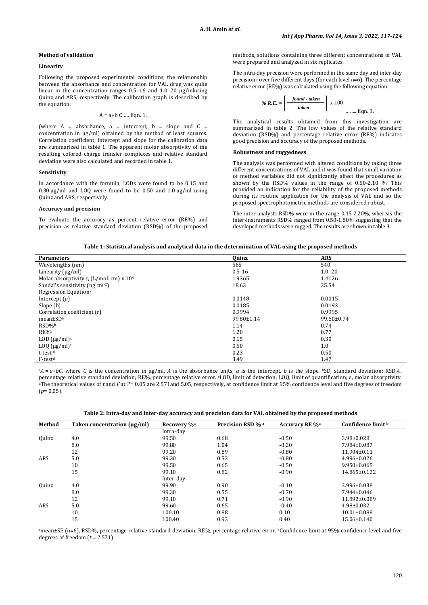# **Method of validation**

## **Linearity**

Following the proposed experimental conditions, the relationship between the absorbance and concentration for VAL drug was quite linear in the concentration ranges 0.5–16 and 1.0–20 μg/mlusing Quinz and ARS, respectively. The calibration graph is described by the equation:

$$
A = a + b
$$
 C .... Eqn. 1.

(where  $A = absorbance$ ,  $a = intercept$ ,  $b = slope$  and  $C =$ concentration in μg/ml) obtained by the method of least squares. Correlation coefficient, intercept and slope for the calibration data are summarized in table 1. The apparent molar absorptivity of the resulting colored charge transfer complexes and relative standard deviation were also calculated and recorded in table 1.

# **Sensitivity**

In accordance with the formula, LODs were found to be 0.15 and 0.30 µg/ml and LOQ were found to be 0.50 and 1.0 µg/ml using Quinz and ARS, respectively.

### **Accuracy and precision**

To evaluate the accuracy as percent relative error (RE%) and precision as relative standard deviation (RSD%) of the proposed methods, solutions containing three different concentrations of VAL were prepared and analyzed in six replicates.

The intra-day precision were performed in the same day and inter-day precision i over five different days (for each level n=6). The percentage relative error (RE%) was calculated using the following equation:

% 
$$
R.E. = \left[ \frac{found - taken}{taken} \right] \times 100
$$
........ Eqn. 3.

The analytical results obtained from this investigation are summarized in table 2. The low values of the relative standard deviation (RSD%) and percentage relative error (RE%) indicates good precision and accuracy of the proposed methods.

# **Robustness and ruggedness**

The analysis was performed with altered conditions by taking three different concentrations of VAL and it was found that small variation of method variables did not significantly affect the procedures as shown by the RSD% values in the range of 0.50-2.10 %. This provided an indication for the reliability of the proposed methods during its routine application for the analysis of VAL and so the proposed spectrophotometric methods are considered robust.

The inter-analysts RSD% were in the range 0.45-2.20%, whereas the inter-instruments RSD% ranged from 0.50-1.80% suggesting that the developed methods were rugged. The results are shown in table 3.

| <b>Parameters</b>                           | Quinz      | <b>ARS</b>       |
|---------------------------------------------|------------|------------------|
| Wavelengths (nm)                            | 565        | 540              |
| Linearity $(\mu g/ml)$                      | $0.5 - 16$ | $1.0 - 20$       |
| Molar absorptivity ε, (L/mol. cm) x $104$   | 1.9365     | 1.4126           |
| Sandal's sensitivity (ng cm <sup>-2</sup> ) | 18.63      | 25.54            |
| Regression Equation <sup>a</sup>            |            |                  |
| Intercept $(a)$                             | 0.0148     | 0.0015           |
| Slope (b)                                   | 0.0185     | 0.0193           |
| Correlation coefficient (r)                 | 0.9994     | 0.9995           |
| $mean \pm SD^b$                             | 99.80±1.14 | $99.60 \pm 0.74$ |
| RSD%b                                       | 1.14       | 0.74             |
| RE%b                                        | 1.20       | 0.77             |
| LOD $(\mu g/ml)^c$                          | 0.15       | 0.30             |
| $LOQ \, (\mu g/ml)^c$                       | 0.50       | 1.0              |
| t-test <sup>d</sup>                         | 0.23       | 0.50             |
| F-test <sup>d</sup>                         | 3.49       | 1.47             |

 $A = a + bC$ , where *C* is the concentration in µg/ml, *A* is the absorbance units, *a* is the intercept, *b* is the slope. **bSD**, standard deviation; RSD%, percentage relative standard deviation; RE%, percentage relative error. cLOD, limit of detection; LOQ, limit of quantification; ε, molar absorptivity. dThe theoretical values of *t* and *F* at P= 0.05 are 2.571and 5.05, respectively, at confidence limit at 95% confidence level and five degrees of freedom  $(p=0.05)$ .

|  |  | Table 2: Intra-day and Inter-day accuracy and precision data for VAL obtained by the proposed methods |
|--|--|-------------------------------------------------------------------------------------------------------|
|--|--|-------------------------------------------------------------------------------------------------------|

| Method       | Taken concentration $(\mu g/ml)$ | Recovery % <sup>a</sup> | Precision RSD % a | <b>Accuracy RE %</b> <sup>a</sup> | Confidence limit b |
|--------------|----------------------------------|-------------------------|-------------------|-----------------------------------|--------------------|
|              |                                  | Intra-day               |                   |                                   |                    |
| <b>Quinz</b> | 4.0                              | 99.50                   | 0.68              | $-0.50$                           | $3.98 \pm 0.028$   |
|              | 8.0                              | 99.80                   | 1.04              | $-0.20$                           | 7.984±0.087        |
|              | 12                               | 99.20                   | 0.89              | $-0.80$                           | 11.904±0.11        |
| ARS          | 5.0                              | 99.30                   | 0.53              | $-0.80$                           | $4.996 \pm 0.026$  |
|              | 10                               | 99.50                   | 0.65              | $-0.50$                           | $9.950 \pm 0.065$  |
|              | 15                               | 99.10                   | 0.82              | $-0.90$                           | 14.865±0.122       |
|              |                                  | Inter-day               |                   |                                   |                    |
| <b>Quinz</b> | 4.0                              | 99.90                   | 0.90              | $-0.10$                           | $3.996 \pm 0.038$  |
|              | 8.0                              | 99.30                   | 0.55              | $-0.70$                           | 7.944±0.046        |
|              | 12                               | 99.10                   | 0.71              | $-0.90$                           | 11.892±0.089       |
| ARS          | 5.0                              | 99.60                   | 0.65              | $-0.40$                           | $4.98 \pm 0.032$   |
|              | 10                               | 100.10                  | 0.88              | 0.10                              | $10.01 \pm 0.088$  |
|              | 15                               | 100.40                  | 0.93              | 0.40                              | $15.06 \pm 0.140$  |

amean±SE (n=6), RSD%, percentage relative standard deviation; RE%, percentage relative error. bConfidence limit at 95% confidence level and five degrees of freedom (*t* = 2.571).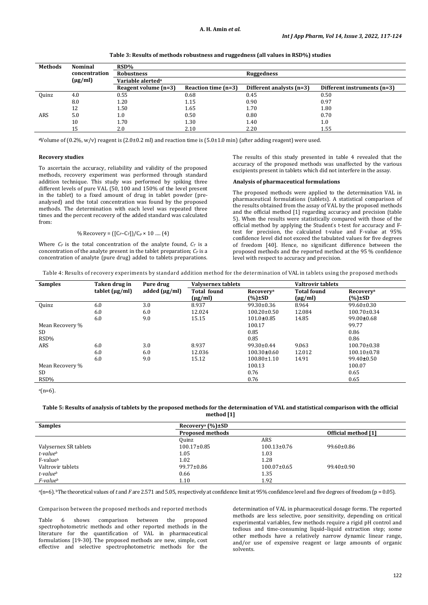| Methods | <b>Nominal</b> | RSD%                          |                       |                          |                             |
|---------|----------------|-------------------------------|-----------------------|--------------------------|-----------------------------|
|         | concentration  | <b>Robustness</b>             |                       | Ruggedness               |                             |
|         | $(\mu g/ml)$   | Variable alerted <sup>a</sup> |                       |                          |                             |
|         |                | Reagent volume $(n=3)$        | Reaction time $(n=3)$ | Different analysts (n=3) | Different instruments (n=3) |
| Ouinz   | 4.0            | 0.55                          | 0.68                  | 0.45                     | 0.50                        |
|         | 8.0            | 1.20                          | 1.15                  | 0.90                     | 0.97                        |
|         | 12             | 1.50                          | 1.65                  | 1.70                     | 1.80                        |
| ARS     | 5.0            | $1.0\,$                       | 0.50                  | 0.80                     | 0.70                        |
|         | 10             | 1.70                          | 1.30                  | 1.40                     | 1.0                         |
|         | 15             | 2.0                           | 2.10                  | 2.20                     | 1.55                        |

**Table 3: Results of methods robustness and ruggedness (all values in RSD%) studies**

**<sup>a</sup>**Volume of (0.2%, w/v) reagent is (2.0±0.2 ml) and reaction time is (5.0±1.0 min) (after adding reagent) were used.

# **Recovery studies**

To ascertain the accuracy, reliability and validity of the proposed methods, recovery experiment was performed through standard addition technique. This study was performed by spiking three different levels of pure VAL (50, 100 and 150% of the level present in the tablet) to a fixed amount of drug in tablet powder (preanalysed) and the total concentration was found by the proposed methods. The determination with each level was repeated three times and the percent recovery of the added standard was calculated from:

% Recovery = 
$$
((C_F - C_T)/(C_p \times 10 \dots (4))
$$

Where  $C_F$  is the total concentration of the analyte found,  $C_T$  is a concentration of the analyte present in the tablet preparation;  $C_P$  is a concentration of analyte (pure drug) added to tablets preparations. The results of this study presented in table 4 revealed that the accuracy of the proposed methods was unaffected by the various excipients present in tablets which did not interfere in the assay.

#### **Analysis of pharmaceutical formulations**

The proposed methods were applied to the determination VAL in pharmaceutical formulations (tablets). A statistical comparison of the results obtained from the assay of VAL by the proposed methods and the official method [1] regarding accuracy and precision (table 5). When the results were statistically compared with those of the official method by applying the Student' s t-test for accuracy and Ftest for precision, the calculated t-value and F-value at 95% confidence level did not exceed the tabulated values for five degrees of freedom [40]. Hence, no significant difference between the proposed methods and the reported method at the 95 % confidence level with respect to accuracy and precision.

| Table 4: Results of recovery experiments by standard addition method for the determination of VAL in tablets using the proposed methods |  |  |  |  |
|-----------------------------------------------------------------------------------------------------------------------------------------|--|--|--|--|
|                                                                                                                                         |  |  |  |  |

| <b>Samples</b>  | Taken drug in       | Pure drug          | Valysernex tablets |                              | <b>Valtrovir tablets</b> |                              |
|-----------------|---------------------|--------------------|--------------------|------------------------------|--------------------------|------------------------------|
|                 | tablet $(\mu g/ml)$ | added $(\mu g/ml)$ | <b>Total found</b> | <b>Recovery</b> <sup>a</sup> | <b>Total found</b>       | <b>Recovery</b> <sup>a</sup> |
|                 |                     |                    | $(\mu g/ml)$       | (%)±SD                       | $(\mu g/ml)$             | (%)±SD                       |
| Ouinz           | 6.0                 | 3.0                | 8.937              | $99.30 \pm 0.36$             | 8.964                    | $99.60 \pm 0.30$             |
|                 | 6.0                 | 6.0                | 12.024             | $100.20 \pm 0.50$            | 12.084                   | $100.70 \pm 0.34$            |
|                 | 6.0                 | 9.0                | 15.15              | $101.0 \pm 0.85$             | 14.85                    | $99.00 \pm 0.68$             |
| Mean Recovery % |                     |                    |                    | 100.17                       |                          | 99.77                        |
| SD              |                     |                    |                    | 0.85                         |                          | 0.86                         |
| RSD%            |                     |                    |                    | 0.85                         |                          | 0.86                         |
| ARS             | 6.0                 | 3.0                | 8.937              | $99.30 \pm 0.44$             | 9.063                    | $100.70 \pm 0.38$            |
|                 | 6.0                 | 6.0                | 12.036             | $100.30 \pm 0.60$            | 12.012                   | $100.10\pm0.78$              |
|                 | 6.0                 | 9.0                | 15.12              | $100.80 \pm 1.10$            | 14.91                    | $99.40 \pm 0.50$             |
| Mean Recovery % |                     |                    |                    | 100.13                       |                          | 100.07                       |
| SD              |                     |                    |                    | 0.76                         |                          | 0.65                         |
| RSD%            |                     |                    |                    | 0.76                         |                          | 0.65                         |
|                 |                     |                    |                    |                              |                          |                              |

 $a(n=6)$ .

# **Table 5: Results of analysis of tablets by the proposed methods for the determination of VAL and statistical comparison with the official method [1]**

| <b>Samples</b>        | Recovery <sup>a</sup> $(\%$ ) $\pm$ SD |                   |                     |  |  |  |
|-----------------------|----------------------------------------|-------------------|---------------------|--|--|--|
|                       | <b>Proposed methods</b>                |                   | Official method [1] |  |  |  |
|                       | Ouinz                                  | ARS               |                     |  |  |  |
| Valysernex SR tablets | $100.17 \pm 0.85$                      | $100.13\pm0.76$   | $99.60 \pm 0.86$    |  |  |  |
| t-valueb              | 1.05                                   | 1.03              |                     |  |  |  |
| F-valueb              | 1.02                                   | 1.28              |                     |  |  |  |
| Valtrovir tablets     | $99.77 \pm 0.86$                       | $100.07 \pm 0.65$ | $99.40 \pm 0.90$    |  |  |  |
| t-valueb              | 0.66                                   | 1.35              |                     |  |  |  |
| F-valueb              | 1.10                                   | 1.92              |                     |  |  |  |

a(n=6). bThe theoretical values of *t* and *F* are 2.571 and 5.05, respectively at confidence limit at 95% confidence level and five degrees of freedom (p = 0.05).

Comparison between the proposed methods and reported methods

Table 6 shows comparison between the proposed spectrophotometric methods and other reported methods in the literature for the quantification of VAL in pharmaceutical formulations [19-30]. The proposed methods are new, simple, cost effective and selective spectrophotometric methods for the determination of VAL in pharmaceutical dosage forms. The reported methods are less selective, poor sensitivity, depending on critical experimental variables, few methods require a rigid pH control and tedious and time-consuming liquid–liquid extraction step; some other methods have a relatively narrow dynamic linear range, and/or use of expensive reagent or large amounts of organic solvents.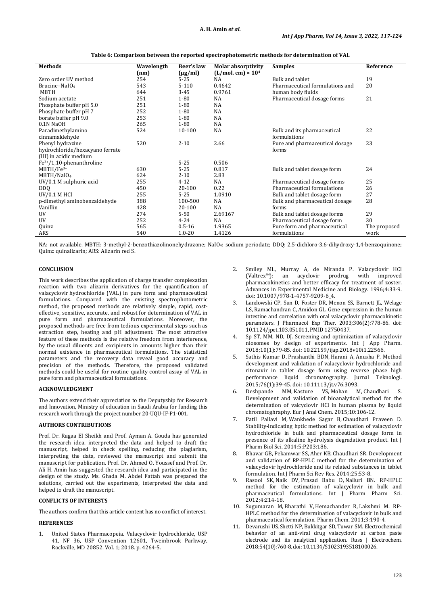| <b>Methods</b>                  | Wavelength | Beer's law   | <b>Molar absorptivity</b> | <b>Samples</b>                  | Reference    |
|---------------------------------|------------|--------------|---------------------------|---------------------------------|--------------|
|                                 | (nm)       | $(\mu g/ml)$ | $(L/mol.cm) \times 104$   |                                 |              |
| Zero order UV method            | 254        | $5 - 25$     | <b>NA</b>                 | <b>Bulk and tablet</b>          | 19           |
| Brucine-NaIO <sub>4</sub>       | 543        | $5 - 110$    | 0.4642                    | Pharmaceutical formulations and | 20           |
| MBTH                            | 644        | $3 - 45$     | 0.9761                    | human body fluids               |              |
| Sodium acetate                  | 251        | $1 - 80$     | <b>NA</b>                 | Pharmaceutical dosage forms     | 21           |
| Phosphate buffer pH 5.0         | 251        | $1 - 80$     | <b>NA</b>                 |                                 |              |
| Phosphate buffer pH 7           | 252        | $1 - 80$     | <b>NA</b>                 |                                 |              |
| borate buffer pH 9.0            | 253        | $1 - 80$     | <b>NA</b>                 |                                 |              |
| $0.1N$ NaOH                     | 265        | $1 - 80$     | <b>NA</b>                 |                                 |              |
| Paradimethylamino               | 524        | 10-100       | NA                        | Bulk and its pharmaceutical     | 22           |
| cinnamaldehyde                  |            |              |                           | formulations                    |              |
| Phenyl hydrazine                | 520        | $2 - 10$     | 2.66                      | Pure and pharmaceutical dosage  | 23           |
| hydrochloride/hexacyano ferrate |            |              |                           | forms                           |              |
| (III) in acidic medium          |            |              |                           |                                 |              |
| $Fe3+/1,10$ -phenanthroline     |            | $5 - 25$     | 0.506                     |                                 |              |
| MBTH/Fe <sup>3+</sup>           | 630        | $5 - 25$     | 0.817                     | Bulk and tablet dosage form     | 24           |
| MBTH/NaIO <sub>4</sub>          | 624        | $2 - 10$     | 2.83                      |                                 |              |
| UV/0.1 M sulphuric acid         | 255        | $4 - 12$     | <b>NA</b>                 | Pharmaceutical dosage forms     | 25           |
| DD <sub>0</sub>                 | 450        | 20-100       | 0.22                      | Pharmaceutical formulations     | 26           |
| <b>UV/0.1 M HCI</b>             | 255        | $5 - 25$     | 1.0910                    | Bulk and tablet dosage form     | 27           |
| p-dimethyl aminobenzaldehyde    | 388        | 100-500      | <b>NA</b>                 | Bulk and pharmaceutical dosage  | 28           |
| Vanillin                        | 428        | 20-100       | <b>NA</b>                 | forms                           |              |
| UV                              | 274        | $5 - 50$     | 2.69167                   | Bulk and tablet dosage forms    | 29           |
| UV                              | 252        | $4 - 24$     | NA                        | Pharmaceutical dosage form      | 30           |
| Quinz                           | 565        | $0.5 - 16$   | 1.9365                    | Pure form and pharmaceutical    | The proposed |
| ARS                             | 540        | $1.0 - 20$   | 1.4126                    | formulations                    | work         |

**Table 6: Comparison between the reported spectrophotometric methods for determination of VAL**

NA: not available. MBTH: 3-methyl-2-benzothiazolinonehydrazone; NaIO4: sodium periodate; DDQ: 2,5-dichloro-3,6-dihydroxy-1,4-benzoquinone; Quinz: quinalizarin; ARS: Alizarin red S.

# **CONCLUSION**

This work describes the application of charge transfer complexation reaction with two alizarin derivatives for the quantification of [valacyclovir](https://www.webmd.com/drugs/2/drug-6279/valacyclovir+oral/details) hydrochloride (VAL) in pure form and pharmaceutical formulations. Compared with the existing spectrophotometric method, the proposed methods are relatively simple, rapid, costeffective, sensitive, accurate, and robust for determination of VAL in pure form and pharmaceutical formulations. Moreover, the proposed methods are free from tedious experimental steps such as extraction step, heating and pH adjustment. The most attractive feature of these methods is the relative freedom from interference, by the usual diluents and excipients in amounts higher than their normal existence in pharmaceutical formulations. The statistical parameters and the recovery data reveal good accuracy and precision of the methods. Therefore, the proposed validated methods could be useful for routine quality control assay of VAL in pure form and pharmaceutical formulations.

# **ACKNOWLEDGMENT**

The authors extend their appreciation to the Deputyship for Research and lnnovation, Ministry of education in Saudi Arabia for funding this research work through the project number 20-UQU-IF-P1-001.

#### **AUTHORS CONTRIBUTIONS**

Prof. Dr. Ragaa El Sheikh and Prof. Ayman A. Gouda has generated the research idea, interpreted the data and helped to draft the manuscript, helped in check spelling, reducing the plagiarism, interpreting the data, reviewed the manuscript and submit the manuscript for publication. Prof. Dr. Ahmed O. Youssef and Prof. Dr. Ali H. Amin has suggested the research idea and participated in the design of the study. Ms. Ghada M. Abdel Fattah was prepared the solutions, carried out the experiments, interpreted the data and helped to draft the manuscript.

# **CONFLICTS OF INTERESTS**

The authors confirm that this article content has no conflict of interest.

# **REFERENCES**

1. United States Pharmacopeia. Valacyclovir hydrochloride, USP 41, NF 36, USP Convention 12601, Tweinbrook Parkway, Rockville, MD 20852. Vol. 1; 2018. p. 4264-5.

- 2. Smiley ML, Murray A, de Miranda P. Valacyclovir HCl (Valtrex<sup>1M</sup>): an acyclovir prodrug with improved prodrug with improved pharmacokinetics and better efficacy for treatment of zoster. Advances in Experimental Medicine and Biology. 1996;4:33-9. doi: [10.1007/978](https://doi.org/10.1007/978-1-4757-9209-6_4)-1-4757-9209-6\_4.
- Landowski CP, Sun D, Foster DR, Menon SS, Barnett JL, Welage LS, Ramachandran C, Amidon GL. Gene expression in the human intestine and correlation with oral valacyclovir pharmacokinetic parameters. J Pharmacol Exp Ther. 2003;306(2):778-86. doi: [10.1124/jpet.103.051011](https://doi.org/10.1124/jpet.103.051011), PMI[D 12750437.](https://www.ncbi.nlm.nih.gov/pubmed/12750437)
- Sp ST, MM, ND, DJ. Screening and optimization of valacyclovir niosomes by design of experiments. Int J App Pharm. 2018;10(1):79-85. doi: [10.22159/ijap.2018v10i1.22566](https://doi.org/10.22159/ijap.2018v10i1.22566).
- 5. Sathis Kumar D, Prashanthi BDN, Harani A, Anusha P. Method development and validation of valacyclovir hydrochloride and ritonavir in tablet dosage form using reverse phase high performance liquid chromatography. Jurnal Teknologi. 2015;76(1):39-45. doi: [10.11113/jt.v76.3093](https://doi.org/10.11113/jt.v76.3093).
- 6. Deshpande MM, Kasture VS, Mohan M, Chaudhari S. Development and validation of bioanalytical method for the determination of valcyclovir HCl in human plasma by liquid chromatoghraphy. Eur J Anal Chem. 2015;10:106-12.
- 7. Patil Pallavi M, Wankhede Sagar B, Chaudhari Praveen D. Stability-indicating hptlc method for estimation of valacyclovir hydrochloride in bulk and pharmaceutical dosage form in presence of its alkaline hydrolysis degradation product. Int J Pharm Biol Sci. 2014:5;P203:186.
- 8. Bhavar GB, Pekamwar SS, Aher KB, Chaudhari SR. Development and validation of RP-HPLC method for the determination of valacyclovir hydrochloride and its related substances in tablet formulation. Int J Pharm Sci Rev Res. 2014;25:53-8.
- 9. Rasool SK, Naik DV, Prasad Babu D, Nalluri BN. RP-HPLC method for the estimation of valacyclovir in bulk and pharmaceutical formulations. Int J Pharm Pharm Sci. 2012;4:214-18.
- 10. Sugumaran M, Bharathi V, Hemachander R, Lakshmi M. RP-HPLC method for the determination of valacyclovir in bulk and pharmaceutical formulation. Pharm Chem. 2011;3:190-4.
- 11. Devarushi US, Shetti NP, Bukkitgar SD, Tuwar SM. Electrochemical behavior of an anti-viral drug valacyclovir at carbon paste electrode and its analytical application. Russ J Electrochem. 2018;54(10):760-8. doi: [10.1134/S1023193518100026](https://doi.org/10.1134/S1023193518100026).